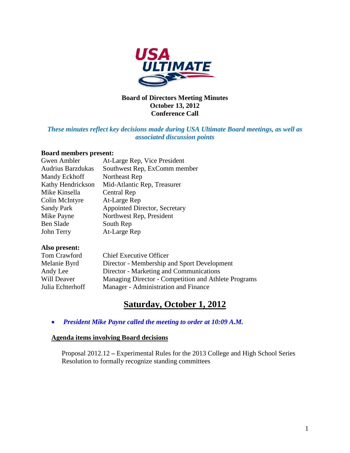

# **Board of Directors Meeting Minutes October 13, 2012 Conference Call**

# *These minutes reflect key decisions made during USA Ultimate Board meetings, as well as associated discussion points*

#### **Board members present:**

| <b>Gwen Ambler</b>       | At-Large Rep, Vice President  |
|--------------------------|-------------------------------|
| <b>Audrius Barzdukas</b> | Southwest Rep, ExComm member  |
| Mandy Eckhoff            | Northeast Rep                 |
| Kathy Hendrickson        | Mid-Atlantic Rep, Treasurer   |
| Mike Kinsella            | <b>Central Rep</b>            |
| Colin McIntyre           | At-Large Rep                  |
| Sandy Park               | Appointed Director, Secretary |
| Mike Payne               | Northwest Rep, President      |
| Ben Slade                | South Rep                     |
| John Terry               | At-Large Rep                  |

#### **Also present:**

| <b>Chief Executive Officer</b>                       |
|------------------------------------------------------|
| Director - Membership and Sport Development          |
| Director - Marketing and Communications              |
| Managing Director - Competition and Athlete Programs |
| Manager - Administration and Finance                 |
|                                                      |

# **Saturday, October 1, 2012**

• *President Mike Payne called the meeting to order at 10:09 A.M.*

## **Agenda items involving Board decisions**

Proposal 2012.12 **–** Experimental Rules for the 2013 College and High School Series Resolution to formally recognize standing committees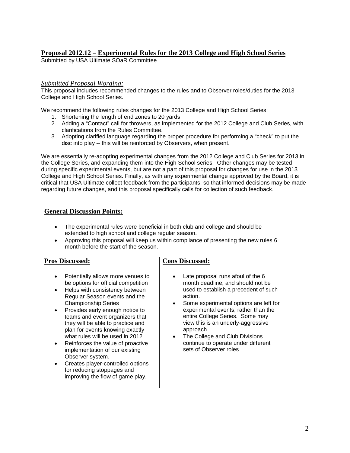# **Proposal 2012.12** – **Experimental Rules for the 2013 College and High School Series**

Submitted by USA Ultimate SOaR Committee

## *Submitted Proposal Wording:*

This proposal includes recommended changes to the rules and to Observer roles/duties for the 2013 College and High School Series.

We recommend the following rules changes for the 2013 College and High School Series:

- 1. Shortening the length of end zones to 20 yards
- 2. Adding a "Contact" call for throwers, as implemented for the 2012 College and Club Series, with clarifications from the Rules Committee.
- 3. Adopting clarified language regarding the proper procedure for performing a "check" to put the disc into play -- this will be reinforced by Observers, when present.

We are essentially re-adopting experimental changes from the 2012 College and Club Series for 2013 in the College Series, and expanding them into the High School series. Other changes may be tested during specific experimental events, but are not a part of this proposal for changes for use in the 2013 College and High School Series. Finally, as with any experimental change approved by the Board, it is critical that USA Ultimate collect feedback from the participants, so that informed decisions may be made regarding future changes, and this proposal specifically calls for collection of such feedback.

#### **General Discussion Points:**

- The experimental rules were beneficial in both club and college and should be extended to high school and college regular season.
- Approving this proposal will keep us within compliance of presenting the new rules 6 month before the start of the season.

#### **Pros Discussed:**

- Potentially allows more venues to be options for official competition
- Helps with consistency between Regular Season events and the Championship Series
- Provides early enough notice to teams and event organizers that they will be able to practice and plan for events knowing exactly what rules will be used in 2012
- Reinforces the value of proactive implementation of our existing Observer system.
- Creates player-controlled options for reducing stoppages and improving the flow of game play.

#### **Cons Discussed:**

- Late proposal runs afoul of the 6 month deadline, and should not be used to establish a precedent of such action.
- Some experimental options are left for experimental events, rather than the entire College Series. Some may view this is an underly-aggressive approach.
- The College and Club Divisions continue to operate under different sets of Observer roles